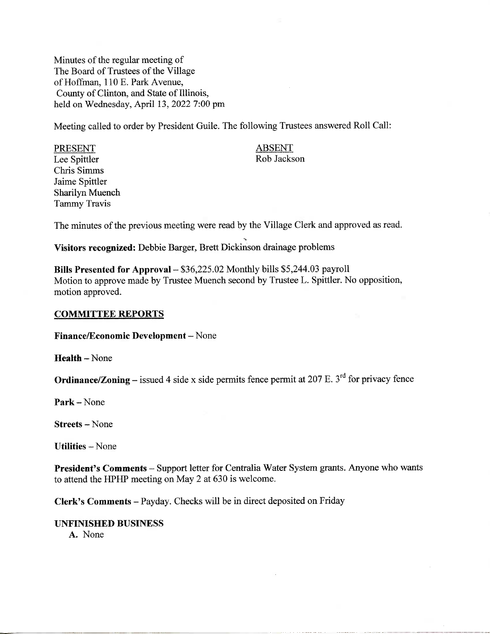Minutes of the regular meeting of The Board of Trustees of the Village of Hoffman, 110 E. Park Avenue, County of Clinton, and State of Illinois, held on Wednesday, April 13, 2022 7:00 pm

Meeting called to order by President Guile. The following Trustees answered Roll Call:

PRESENT ABSENT Lee Spittler Rob Jackson Chris Simms Jaime Spittler Sharilyn Muench Tammy Travis

The minutes of the previous meeting were read by the Village Clerk and approved as read.

**Visitors recognized:** Debbie Barger, Brett Dickinson drainage problems

**Bills Presented for Approval** - \$36,225.02 Monthly bills \$5,244.03 payroll Motion to approve made by Trustee Muench second by Trustee L. Spittler. No opposition, motion approved.

# **COMMITTEE REPORTS**

**Finance/Economic Development -** None

**Health-None**

**Ordinance/Zoning** – issued 4 side x side permits fence permit at 207 E.  $3<sup>rd</sup>$  for privacy fence

**Park -** None

Streets - None

**Utilities —** None

**President's Comments** - Support letter for Centralia Water System grants. Anyone who wants to attend the HPHP meeting on May 2 at 630 is welcome.

**Clerk's Comments** - Payday. Checks will be in direct deposited on Friday

### **UNFINISHED BUSINESS**

A. None